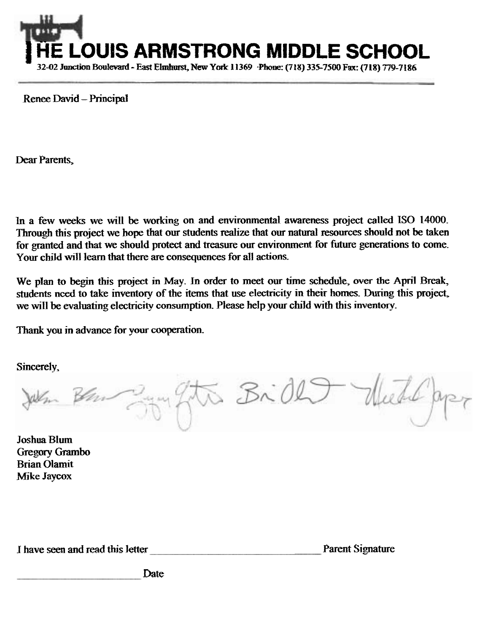

Renee David - Principal

Dear Parents,

In a few weeks we will be working on and environmental awareness project called ISO 14000. Through this project we hope that our students realize that our natural **resources** should not be taken for granted and that **we** should protect and treasure our environment for future generations to come. Your child **will** learn that there are consequences for all actions.

We plan to begin this project in May. In order to meet our time schedule, over the **April** Break, students need to take inventory of the items that use electricity in their homes. During this project, we will be evaluating electricity consumption. Please help your child with this inventory.

Thank you in advance for your cooperation.

Sincerely,

 $34772$  Bidh

Joshua Blum Gregory Grambo Brian Olamit Mike Jaycox

I have seen and read this letter Parent Signature

Date